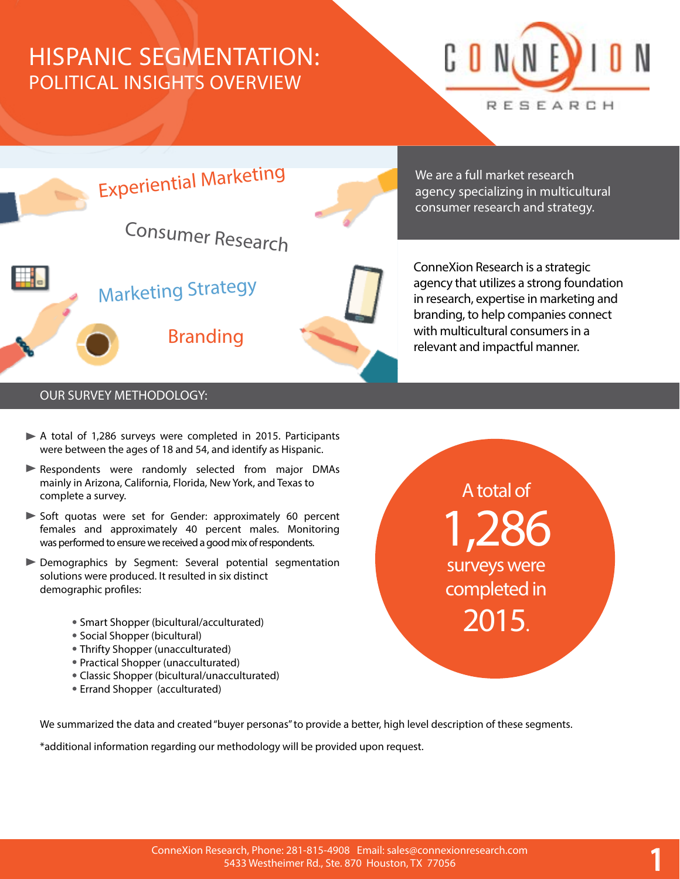# HISPANIC SEGMENTATION: POLITICAL INSIGHTS OVERVIEW





We are a full market research agency specializing in multicultural consumer research and strategy.

ConneXion Research is a strategic agency that utilizes a strong foundation in research, expertise in marketing and branding, to help companies connect with multicultural consumers in a relevant and impactful manner.

A total of

1,286

surveys were

completed in

2015.

1

#### OUR SURVEY METHODOLOGY:

- A total of 1,286 surveys were completed in 2015. Participants were between the ages of 18 and 54, and identify as Hispanic.
- Respondents were randomly selected from major DMAs mainly in Arizona, California, Florida, New York, and Texas to complete a survey.
- Soft quotas were set for Gender: approximately 60 percent females and approximately 40 percent males. Monitoring was performed to ensure we received a good mix of respondents.
- Demographics by Segment: Several potential segmentation solutions were produced. It resulted in six distinct demographic profiles:
	- Smart Shopper (bicultural/acculturated)
	- Social Shopper (bicultural)
	- Thrifty Shopper (unacculturated)
	- Practical Shopper (unacculturated)
	- Classic Shopper (bicultural/unacculturated)
	- Errand Shopper (acculturated)

We summarized the data and created "buyer personas" to provide a better, high level description of these segments.

\*additional information regarding our methodology will be provided upon request.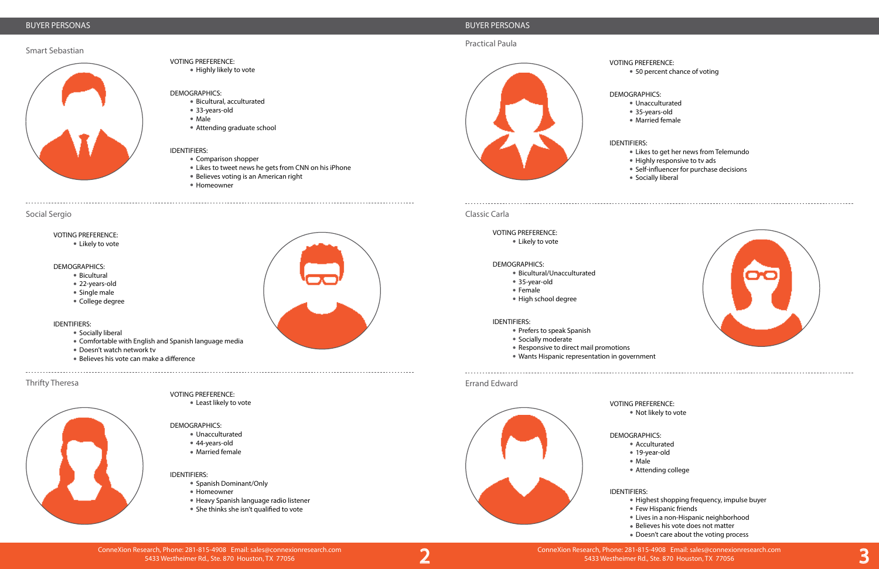#### BUYER PERSONAS

Smart Sebastian

Social Sergio

### Thrifty Theresa





#### BUYER PERSONAS

#### Practical Paula

Classic Carla

### Errand Edward

Experiment ConneXion Research, Phone: 281-815-4908 Email: sales@connexionresearch.com<br>2 3 3 3 3 3 3 3 3 3 3 3 3 3 3 3 3 4 4 543 5 450 5433 Westheimer Rd., Ste. 870 Houston, TX 77056 5433 Westheimer Rd., Ste. 870 Houston, TX 77056

5433 Westheimer Rd., Ste. 870 Houston, TX 77056

VOTING PREFERENCE:

Highly likely to vote

DEMOGRAPHICS:

- Socially liberal
- Comfortable with English and Spanish language media
- Doesn't watch network tv
- Believes his vote can make a difference

Bicultural, acculturated

33-years-old Male

Attending graduate school

- Spanish Dominant/Only
- Homeowner
- Heavy Spanish language radio listener
- She thinks she isn't qualified to vote





IDENTIFIERS:

Comparison shopper

Likes to tweet news he gets from CNN on his iPhone



● 50 percent chance of voting

Believes voting is an American right

Homeowner

VOTING PREFERENCE:

# Likely to vote

#### DEMOGRAPHICS:

• Bicultural

- 22-years-old
- Single male
- College degree

#### IDENTIFIERS:

Highest shopping frequency, impulse buyer • Few Hispanic friends Lives in a non-Hispanic neighborhood Believes his vote does not matter • Doesn't care about the voting process



Least likely to vote

#### DEMOGRAPHICS:

- Unacculturated
- 44-years-old
- Married female

#### IDENTIFIERS:



# DEMOGRAPHICS:

Unacculturated 35-years-old Married female

- 
- 
- 
- IDENTIFIERS:
- 
- 
- 
- 

Likes to get her news from Telemundo Highly responsive to tv ads **• Self-influencer for purchase decisions** Socially liberal



#### VOTING PREFERENCE:

Likely to vote

#### DEMOGRAPHICS:

- Bicultural/Unacculturated
- 35-year-old
- Female
- High school degree

#### IDENTIFIERS:

- Prefers to speak Spanish
- Socially moderate
- Responsive to direct mail promotions
- Wants Hispanic representation in government

VOTING PREFERENCE:

Not likely to vote

# DEMOGRAPHICS:

Acculturated 19-year-old Attending college

- 
- Male
- 

## IDENTIFIERS:

- 
- 
- 
- 
-